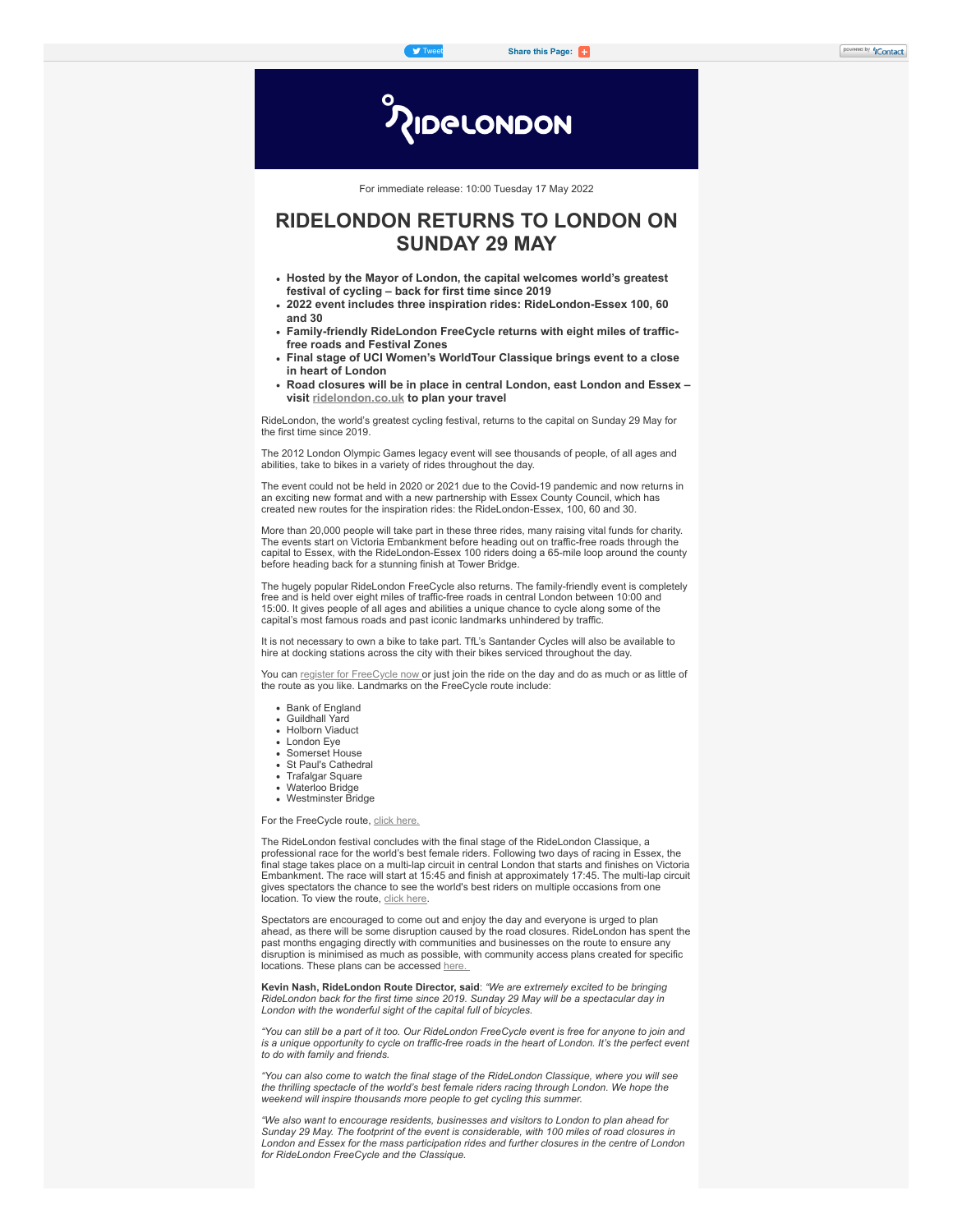**IDELONDON** 

For immediate release: 10:00 Tuesday 17 May 2022

# **RIDELONDON RETURNS TO LONDON ON SUNDAY 29 MAY**

- **Hosted by the Mayor of London, the capital welcomes world's greatest festival of cycling – back for first time since 2019**
- **2022 event includes three inspiration rides: RideLondon-Essex 100, 60 and 30**
- **Family-friendly RideLondon FreeCycle returns with eight miles of trafficfree roads and Festival Zones**
- **Final stage of UCI Women's WorldTour Classique brings event to a close in heart of London**
- **Road closures will be in place in central London, east London and Essex – visit [ridelondon.co.uk](https://click.icptrack.com/icp/rclick.php?cid=813804&mid=418187&destination=https%3A%2F%2Fwww.ridelondon.co.uk%2F&cfid=10964&vh=dfa5dd36c86f7e5cafd406816d657dc4f21075170013b6b4c766661741fb452f) to plan your travel**

RideLondon, the world's greatest cycling festival, returns to the capital on Sunday 29 May for the first time since 2019.

The 2012 London Olympic Games legacy event will see thousands of people, of all ages and abilities, take to bikes in a variety of rides throughout the day.

The event could not be held in 2020 or 2021 due to the Covid-19 pandemic and now returns in an exciting new format and with a new partnership with Essex County Council, which has created new routes for the inspiration rides: the RideLondon-Essex, 100, 60 and 30.

More than 20,000 people will take part in these three rides, many raising vital funds for charity. The events start on Victoria Embankment before heading out on traffic-free roads through the capital to Essex, with the RideLondon-Essex 100 riders doing a 65-mile loop around the county before heading back for a stunning finish at Tower Bridge.

The hugely popular RideLondon FreeCycle also returns. The family-friendly event is completely free and is held over eight miles of traffic-free roads in central London between 10:00 and 15:00. It gives people of all ages and abilities a unique chance to cycle along some of the capital's most famous roads and past iconic landmarks unhindered by traffic.

It is not necessary to own a bike to take part. TfL's Santander Cycles will also be available to hire at docking stations across the city with their bikes serviced throughout the day.

You can [register for FreeCycle now](https://click.icptrack.com/icp/rclick.php?cid=813804&mid=418187&destination=https%3A%2F%2Fin.londonmarathon.events%2Ffree-cycle1644924091710%2Fcompetition%2Fa1xnk6pxhona1xnk6pxhom%3FcurrentPage%3Dselect-competition&cfid=10964&vh=f525b77aff4611714c9b5ebac772b8ef683c3f6ea16fdee136fc9928dc104cc7) or just join the ride on the day and do as much or as little of the route as you like. Landmarks on the FreeCycle route include:

- Bank of England
- Guildhall Yard
- Holborn Viaduct London Eye
- Somerset House
- St Paul's Cathedral
- Trafalgar Square
- Waterloo Bridge
- Westminster Bridge

For the FreeCycle route, [click here.](https://click.icptrack.com/icp/rclick.php?cid=813804&mid=418187&destination=https%3A%2F%2Fwww.ridelondon.co.uk%2Four-rides%2Fridelondon-freecycle&cfid=10964&vh=8fa450cd37331dffb50b664ac2c9054a5611fb9e42c2cfaba0bef1cf461779a3)

The RideLondon festival concludes with the final stage of the RideLondon Classique, a professional race for the world's best female riders. Following two days of racing in Essex, the final stage takes place on a multi-lap circuit in central London that starts and finishes on Victoria Embankment. The race will start at 15:45 and finish at approximately 17:45. The multi-lap circuit gives spectators the chance to see the world's best riders on multiple occasions from one location. To view the route, [click here](https://click.icptrack.com/icp/rclick.php?cid=813804&mid=418187&destination=https%3A%2F%2Fwww.ridelondon.co.uk%2Fthe-classique%2Fthe-stages%2Fstage-three&cfid=10964&vh=9c837cbd0096407c2c868bb456fe556a99b2a846dbfc31aca716c1d664a01d7b).

Spectators are encouraged to come out and enjoy the day and everyone is urged to plan ahead, as there will be some disruption caused by the road closures. RideLondon has spent the past months engaging directly with communities and businesses on the route to ensure any disruption is minimised as much as possible, with community access plans created for specific locations. These plans can be accessed [here.](https://click.icptrack.com/icp/rclick.php?cid=813804&mid=418187&destination=https%3A%2F%2Fwww.ridelondon.co.uk%2Froad-closures%2Froad-closure-information&cfid=10964&vh=c6283a4d3620568a3d13f932bd512d09c906bd9760b8c4f261d01418766b6665)

**Kevin Nash, RideLondon Route Director, said**: *"We are extremely excited to be bringing RideLondon back for the first time since 2019. Sunday 29 May will be a spectacular day in London with the wonderful sight of the capital full of bicycles.*

*"You can still be a part of it too. Our RideLondon FreeCycle event is free for anyone to join and is a unique opportunity to cycle on traffic-free roads in the heart of London. It's the perfect event to do with family and friends.*

*"You can also come to watch the final stage of the RideLondon Classique, where you will see the thrilling spectacle of the world's best female riders racing through London. We hope the weekend will inspire thousands more people to get cycling this summer.*

*"We also want to encourage residents, businesses and visitors to London to plan ahead for Sunday 29 May. The footprint of the event is considerable, with 100 miles of road closures in London and Essex for the mass participation rides and further closures in the centre of London for RideLondon FreeCycle and the Classique.*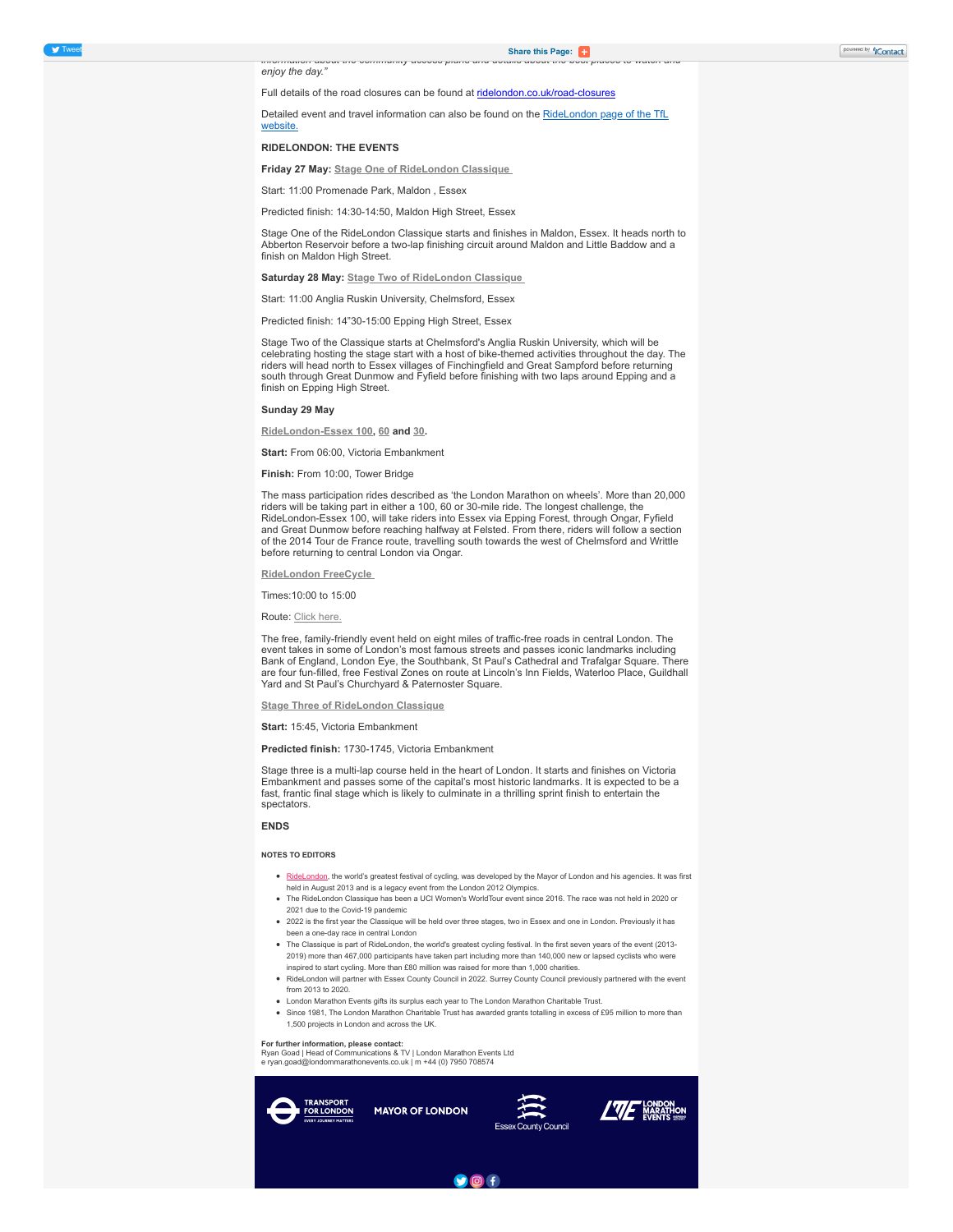*information about the community access plans and details about the best places to watch and* enjoy the day.

## Full details of the road closures can be found at [ridelondon.co.uk/road-closures](https://click.icptrack.com/icp/rclick.php?cid=813804&mid=418187&destination=https%3A%2F%2Fwww.ridelondon.co.uk%2Froad-closures%2Froad-closure-information&cfid=10964&vh=c6283a4d3620568a3d13f932bd512d09c906bd9760b8c4f261d01418766b6665)

[Detailed event and travel information can also be found on the RideLondon page of the TfL](https://click.icptrack.com/icp/rclick.php?cid=813804&mid=418187&destination=https%3A%2F%2Ftfl.gov.uk%2Fstatus-updates%2Fmajor-works-and-events%2Fridelondon-2022%3Fcid%3Dridelondon&cfid=10964&vh=c941f78e3b84219f1415427d05250049d26ed72d67037731b7fe8665270e0c23) website.

## **RIDELONDON: THE EVENTS**

**Friday 27 May: [Stage One of RideLondon Classique](https://click.icptrack.com/icp/rclick.php?cid=813804&mid=418187&destination=https%3A%2F%2Fwww.ridelondon.co.uk%2Fthe-classique%2Fthe-stages%2Fstage-one&cfid=10964&vh=4a0cbcb548909ac63b45d309c6004250399a8177aa1a967fdc747843195d6573)**

Start: 11:00 Promenade Park, Maldon , Essex

Predicted finish: 14:30-14:50, Maldon High Street, Essex

Stage One of the RideLondon Classique starts and finishes in Maldon, Essex. It heads north to Abberton Reservoir before a two-lap finishing circuit around Maldon and Little Baddow and a finish on Maldon High Street.

**Saturday 28 May: [Stage Two of RideLondon Classique](https://click.icptrack.com/icp/rclick.php?cid=813804&mid=418187&destination=https%3A%2F%2Fwww.ridelondon.co.uk%2Fthe-classique%2Fthe-stages%2Fstage-two&cfid=10964&vh=1af746815d4810b99dbaeb171401e70043c12823e72c898f4ab4f97e2af567b1)**

Start: 11:00 Anglia Ruskin University, Chelmsford, Essex

Predicted finish: 14"30-15:00 Epping High Street, Essex

Stage Two of the Classique starts at Chelmsford's Anglia Ruskin University, which will be celebrating hosting the stage start with a host of bike-themed activities throughout the day. The riders will head north to Essex villages of Finchingfield and Great Sampford before returning south through Great Dunmow and Fyfield before finishing with two laps around Epping and a finish on Epping High Street.

## **Sunday 29 May**

**[RideLondon-Essex 100,](https://click.icptrack.com/icp/rclick.php?cid=813804&mid=418187&destination=https%3A%2F%2Fwww.ridelondon.co.uk%2Four-rides%2Fridelondon-essex-100&cfid=10964&vh=ef74f35165c6ccae48468ef920533731c61d6059d2c2613f8e6a36b3e6886e12) [60](https://click.icptrack.com/icp/rclick.php?cid=813804&mid=418187&destination=https%3A%2F%2Fwww.ridelondon.co.uk%2Four-rides%2Fridelondon-essex-60&cfid=10964&vh=cee0d0bbfc9405a4452244baeeec58475aeef04fd907609139a58c1d19343865) and [30.](https://click.icptrack.com/icp/rclick.php?cid=813804&mid=418187&destination=https%3A%2F%2Fwww.ridelondon.co.uk%2Four-rides%2Fridelondon-essex-30&cfid=10964&vh=eded6f3fc3e224a729e46d92ee518cb37f0c0d18caddf4526fb9bc1fd6a4b6c2)**

**Start:** From 06:00, Victoria Embankment

**Finish:** From 10:00, Tower Bridge

The mass participation rides described as 'the London Marathon on wheels'. More than 20,000 riders will be taking part in either a 100, 60 or 30-mile ride. The longest challenge, the RideLondon-Essex 100, will take riders into Essex via Epping Forest, through Ongar, Fyfield and Great Dunmow before reaching halfway at Felsted. From there, riders will follow a section of the 2014 Tour de France route, travelling south towards the west of Chelmsford and Writtle before returning to central London via Ongar.

## **[RideLondon FreeCycle](https://click.icptrack.com/icp/rclick.php?cid=813804&mid=418187&destination=https%3A%2F%2Fwww.ridelondon.co.uk%2Four-rides%2Fridelondon-freecycle&cfid=10964&vh=8fa450cd37331dffb50b664ac2c9054a5611fb9e42c2cfaba0bef1cf461779a3)**

Times:10:00 to 15:00

Route: [Click here.](https://click.icptrack.com/icp/rclick.php?cid=813804&mid=418187&destination=https%3A%2F%2Fwww.ridelondon.co.uk%2Four-rides%2Fridelondon-freecycle&cfid=10964&vh=8fa450cd37331dffb50b664ac2c9054a5611fb9e42c2cfaba0bef1cf461779a3)

The free, family-friendly event held on eight miles of traffic-free roads in central London. The event takes in some of London's most famous streets and passes iconic landmarks including Bank of England, London Eye, the Southbank, St Paul's Cathedral and Trafalgar Square. There are four fun-filled, free Festival Zones on route at Lincoln's Inn Fields, Waterloo Place, Guildhall Yard and St Paul's Churchyard & Paternoster Square.

#### **[Stage Three of RideLondon Classique](https://click.icptrack.com/icp/rclick.php?cid=813804&mid=418187&destination=https%3A%2F%2Fwww.ridelondon.co.uk%2Fthe-classique%2Fthe-stages%2Fstage-three&cfid=10964&vh=9c837cbd0096407c2c868bb456fe556a99b2a846dbfc31aca716c1d664a01d7b)**

**Start:** 15:45, Victoria Embankment

#### **Predicted finish:** 1730-1745, Victoria Embankment

Stage three is a multi-lap course held in the heart of London. It starts and finishes on Victoria Embankment and passes some of the capital's most historic landmarks. It is expected to be a fast, frantic final stage which is likely to culminate in a thrilling sprint finish to entertain the spectators.

#### **ENDS**

#### **NOTES TO EDITORS**

- [RideLondon,](https://click.icptrack.com/icp/rclick.php?cid=813804&mid=418187&destination=https%3A%2F%2Fwww.ridelondon.co.uk%2F&cfid=10964&vh=dfa5dd36c86f7e5cafd406816d657dc4f21075170013b6b4c766661741fb452f) the world's greatest festival of cycling, was developed by the Mayor of London and his agencies. It was first held in August 2013 and is a legacy event from the London 2012 Olympics.
- The RideLondon Classique has been a UCI Women's WorldTour event since 2016. The race was not held in 2020 or 2021 due to the Covid-19 pandemic
- 2022 is the first year the Classique will be held over three stages, two in Essex and one in London. Previously it has been a one-day race in central London
- The Classique is part of RideLondon, the world's greatest cycling festival. In the first seven years of the event (2013- 2019) more than 467,000 participants have taken part including more than 140,000 new or lapsed cyclists who were inspired to start cycling. More than £80 million was raised for more than 1,000 charities.
- RideLondon will partner with Essex County Council in 2022. Surrey County Council previously partnered with the event from 2013 to 2020.
- London Marathon Events gifts its surplus each year to The London Marathon Charitable Trust.
- Since 1981, The London Marathon Charitable Trust has awarded grants totalling in excess of £95 million to more than 1,500 projects in London and across the UK.

**For further information, please contact:**

Ryan Goad | Head of Communications & TV | London Marathon Events Ltd e ryan.goad@londommarathonevents.co.uk | m +44 (0) 7950 708574



 $90f$